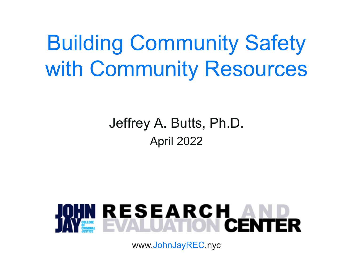Building Community Safety with Community Resources

# Jeffrey A. Butts, Ph.D. April 2022



www.JohnJayREC.nyc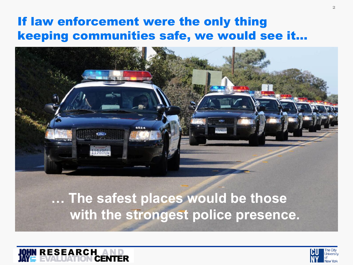## If law enforcement were the only thing keeping communities safe, we would see it…



**… The safest places would be those with the strongest police presence.**



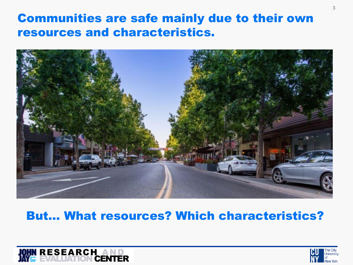## Communities are safe mainly due to their own resources and characteristics.



### But… What resources? Which characteristics?

![](_page_2_Picture_3.jpeg)

![](_page_2_Picture_4.jpeg)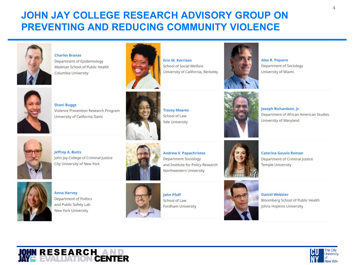#### **JOHN JAY COLLEGE RESEARCH ADVISORY GROUP ON PREVENTING AND REDUCING COMMUNITY VIOLENCE**

![](_page_3_Picture_1.jpeg)

**Charles Branas** 

Department of Epidemiology Mailman School of Public Health Columbia University

![](_page_3_Picture_4.jpeg)

**Erin M. Kerrison** School of Social Welfare University of California, Berkeley

![](_page_3_Picture_6.jpeg)

**Alex R. Piquero** Department of Sociology University of Miami

![](_page_3_Picture_8.jpeg)

**Shani Buggs** Violence Prevention Research Program University of California Davis

![](_page_3_Picture_10.jpeg)

**Tracey Meares** School of Law **Yale University** 

Joseph Richardson, Jr. Department of African American Studies University of Maryland

![](_page_3_Picture_14.jpeg)

**Jeffrey A. Butts** John Jay College of Criminal Justice City University of New York

![](_page_3_Picture_16.jpeg)

**Andrew V. Papachristos Department Sociology** and Institute for Policy Research Northwestern University

![](_page_3_Picture_18.jpeg)

**Anna Harvey Department of Politics** and Public Safety Lab New York University

![](_page_3_Picture_20.jpeg)

**John Pfaff** School of Law **Fordham University** 

![](_page_3_Picture_22.jpeg)

![](_page_3_Picture_23.jpeg)

Department of Criminal Justice Temple University

**Caterina Gouvis Roman** 

**Daniel Webster** Bloomberg School of Public Health Johns Hopkins University

![](_page_3_Picture_26.jpeg)

![](_page_3_Picture_28.jpeg)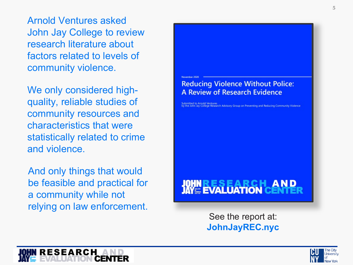Arnold Ventures asked John Jay College to review research literature about factors related to levels of community violence.

We only considered high quality, reliable studies of community resources and characteristics that were statistically related to crime and violence.

And only things that would be feasible and practical for a community while not relying on law enforcement.

![](_page_4_Picture_3.jpeg)

See the report at: **JohnJayREC.nyc**

![](_page_4_Picture_5.jpeg)

![](_page_4_Picture_6.jpeg)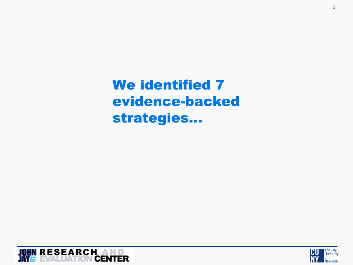We identified 7 evidence-backed strategies…

![](_page_5_Picture_1.jpeg)

![](_page_5_Picture_2.jpeg)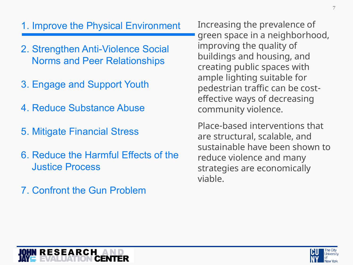#### 1. Improve the Physical Environment

- 2. Strengthen Anti-Violence Social Norms and Peer Relationships
- 3. Engage and Support Youth
- 4. Reduce Substance Abuse
- 5. Mitigate Financial Stress
- 6. Reduce the Harmful Effects of the Justice Process
- 7. Confront the Gun Problem

Increasing the prevalence of green space in a neighborhood, improving the quality of buildings and housing, and creating public spaces with ample lighting suitable for pedestrian traffic can be costeffective ways of decreasing community violence.

Place-based interventions that are structural, scalable, and sustainable have been shown to reduce violence and many strategies are economically viable.

![](_page_6_Picture_9.jpeg)

**RESEARCH**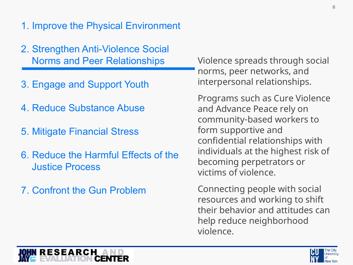#### 1. Improve the Physical Environment

- 2. Strengthen Anti-Violence Social Norms and Peer Relationships
- 3. Engage and Support Youth
- 4. Reduce Substance Abuse
- 5. Mitigate Financial Stress
- 6. Reduce the Harmful Effects of the Justice Process
- 7. Confront the Gun Problem

Violence spreads through social norms, peer networks, and interpersonal relationships.

Programs such as Cure Violence and Advance Peace rely on community-based workers to form supportive and confidential relationships with individuals at the highest risk of becoming perpetrators or victims of violence.

Connecting people with social resources and working to shift their behavior and attitudes can help reduce neighborhood violence.

![](_page_7_Picture_10.jpeg)

![](_page_7_Picture_11.jpeg)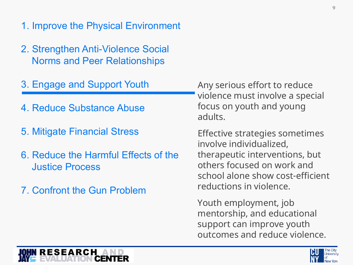- 1. Improve the Physical Environment
- 2. Strengthen Anti-Violence Social Norms and Peer Relationships
- 3. Engage and Support Youth
	- 4. Reduce Substance Abuse
	- 5. Mitigate Financial Stress
	- 6. Reduce the Harmful Effects of the Justice Process
	- 7. Confront the Gun Problem

Any serious effort to reduce violence must involve a special focus on youth and young adults.

Effective strategies sometimes involve individualized, therapeutic interventions, but others focused on work and school alone show cost-efficient reductions in violence.

Youth employment, job mentorship, and educational support can improve youth outcomes and reduce violence.

![](_page_8_Picture_10.jpeg)

![](_page_8_Picture_11.jpeg)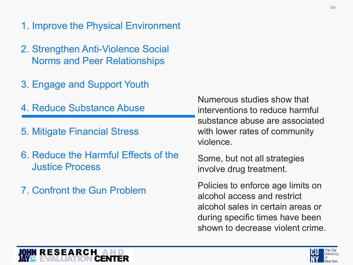- 1. Improve the Physical Environment
- 2. Strengthen Anti-Violence Social Norms and Peer Relationships
- 3. Engage and Support Youth
- 4. Reduce Substance Abuse
- 5. Mitigate Financial Stress
- 6. Reduce the Harmful Effects of the Justice Process
- 7. Confront the Gun Problem

Numerous studies show that interventions to reduce harmful substance abuse are associated with lower rates of community violence.

Some, but not all strategies involve drug treatment.

Policies to enforce age limits on alcohol access and restrict alcohol sales in certain areas or during specific times have been shown to decrease violent crime.

![](_page_9_Picture_10.jpeg)

![](_page_9_Picture_11.jpeg)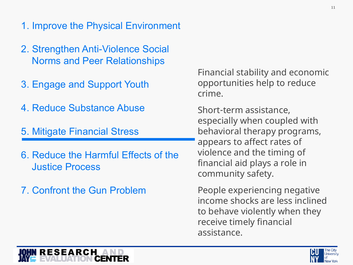- 1. Improve the Physical Environment
- 2. Strengthen Anti-Violence Social Norms and Peer Relationships
- 3. Engage and Support Youth
- 4. Reduce Substance Abuse
- 5. Mitigate Financial Stress
- 6. Reduce the Harmful Effects of the Justice Process
- 7. Confront the Gun Problem

Financial stability and economic opportunities help to reduce crime.

Short-term assistance, especially when coupled with behavioral therapy programs, appears to affect rates of violence and the timing of financial aid plays a role in community safety.

People experiencing negative income shocks are less inclined to behave violently when they receive timely financial assistance.

![](_page_10_Picture_10.jpeg)

![](_page_10_Picture_11.jpeg)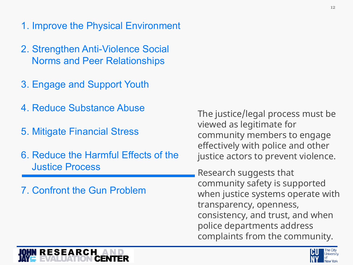- 1. Improve the Physical Environment
- 2. Strengthen Anti-Violence Social Norms and Peer Relationships
- 3. Engage and Support Youth
- 4. Reduce Substance Abuse
- 5. Mitigate Financial Stress
- 6. Reduce the Harmful Effects of the Justice Process
- 7. Confront the Gun Problem

The justice/legal process must be viewed as legitimate for community members to engage effectively with police and other justice actors to prevent violence.

Research suggests that community safety is supported when justice systems operate with transparency, openness, consistency, and trust, and when police departments address complaints from the community.

![](_page_11_Picture_9.jpeg)

![](_page_11_Picture_10.jpeg)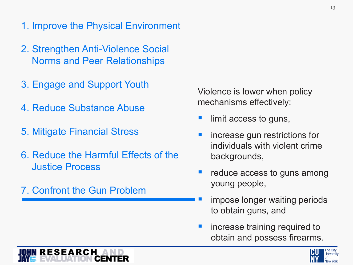- 1. Improve the Physical Environment
- 2. Strengthen Anti-Violence Social Norms and Peer Relationships
- 3. Engage and Support Youth
- 4. Reduce Substance Abuse
- 5. Mitigate Financial Stress
- 6. Reduce the Harmful Effects of the Justice Process
- 7. Confront the Gun Problem

Violence is lower when policy mechanisms effectively:

- limit access to guns,
- **numies-** increase gun restrictions for individuals with violent crime backgrounds,
- **•** reduce access to guns among young people,
	- impose longer waiting periods to obtain guns, and
- **n** increase training required to obtain and possess firearms.

![](_page_12_Picture_13.jpeg)

![](_page_12_Picture_14.jpeg)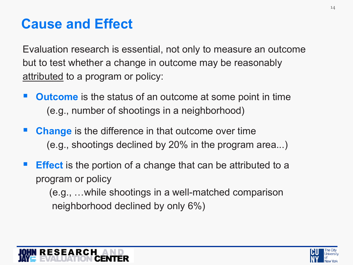## **Cause and Effect**

Evaluation research is essential, not only to measure an outcome but to test whether a change in outcome may be reasonably attributed to a program or policy:

- **Outcome** is the status of an outcome at some point in time (e.g., number of shootings in a neighborhood)
- **Change** is the difference in that outcome over time (e.g., shootings declined by 20% in the program area...)
- **Effect** is the portion of a change that can be attributed to a program or policy

(e.g., …while shootings in a well-matched comparison neighborhood declined by only 6%)

![](_page_13_Picture_6.jpeg)

![](_page_13_Picture_7.jpeg)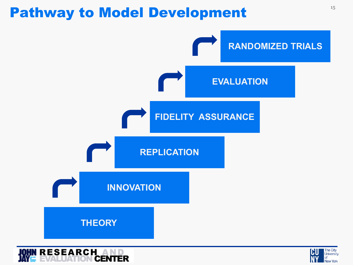## Pathway to Model Development **Pathway** to Model Development

![](_page_14_Figure_1.jpeg)

![](_page_14_Picture_2.jpeg)

![](_page_14_Picture_3.jpeg)